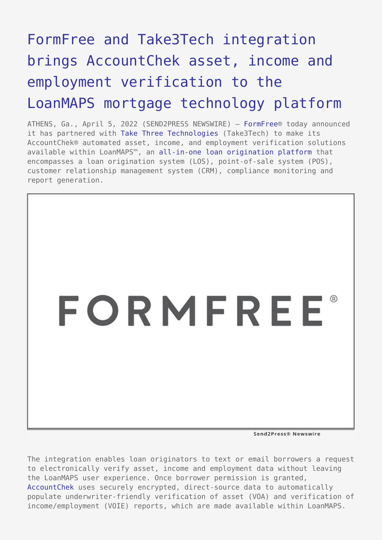## [FormFree and Take3Tech integration](https://www.send2press.com/wire/formfree-and-take3tech-integration-brings-accountchek-asset-income-and-employment-verification-to-the-loanmaps-mortgage-technology-platform/) [brings AccountChek asset, income and](https://www.send2press.com/wire/formfree-and-take3tech-integration-brings-accountchek-asset-income-and-employment-verification-to-the-loanmaps-mortgage-technology-platform/) [employment verification to the](https://www.send2press.com/wire/formfree-and-take3tech-integration-brings-accountchek-asset-income-and-employment-verification-to-the-loanmaps-mortgage-technology-platform/) [LoanMAPS mortgage technology platform](https://www.send2press.com/wire/formfree-and-take3tech-integration-brings-accountchek-asset-income-and-employment-verification-to-the-loanmaps-mortgage-technology-platform/)

ATHENS, Ga., April 5, 2022 (SEND2PRESS NEWSWIRE) — [FormFree](https://www.formfree.com/)® today announced it has partnered with [Take Three Technologies](https://take3tech.com/) (Take3Tech) to make its AccountChek® automated asset, income, and employment verification solutions available within LoanMAPS™, an [all-in-one loan origination platform](https://welcome.loanmaps.com/features/) that encompasses a loan origination system (LOS), point-of-sale system (POS), customer relationship management system (CRM), compliance monitoring and report generation.



Send2Press® Newswire

The integration enables loan originators to text or email borrowers a request to electronically verify asset, income and employment data without leaving the LoanMAPS user experience. Once borrower permission is granted, [AccountChek](https://www.formfree.com/income-and-employment/) uses securely encrypted, direct-source data to automatically populate underwriter-friendly verification of asset (VOA) and verification of income/employment (VOIE) reports, which are made available within LoanMAPS.